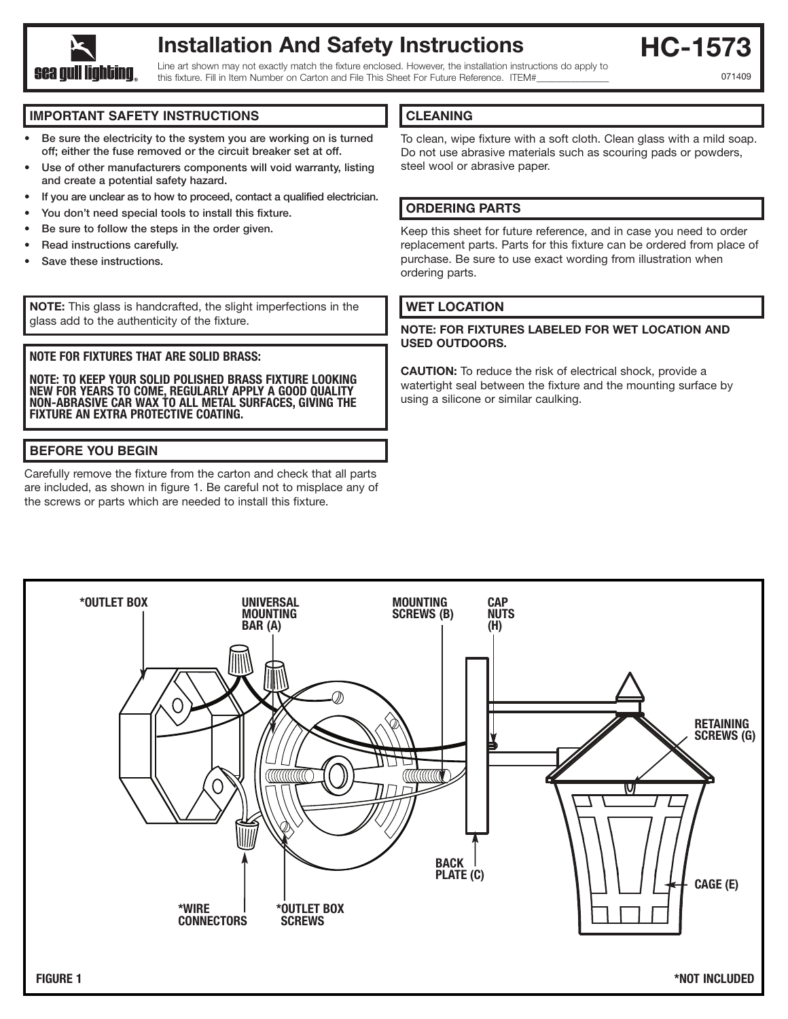

# **Installation And Safety Instructions**

**HC-1573**

071409

Line art shown may not exactly match the fixture enclosed. However, the installation instructions do apply to this fixture. Fill in Item Number on Carton and File This Sheet For Future Reference. ITEM#

#### **IMPORTANT SAFETY INSTRUCTIONS**

- **Be sure the electricity to the system you are working on is turned off; either the fuse removed or the circuit breaker set at off.**
- **Use of other manufacturers components will void warranty, listing and create a potential safety hazard.**
- **If you are unclear as to how to proceed, contact a qualified electrician.**
- **• You don't need special tools to install this fixture.**
- **• Be sure to follow the steps in the order given.**
- **Read instructions carefully.**
- **• Save these instructions.**

**NOTE:** This glass is handcrafted, the slight imperfections in the glass add to the authenticity of the fixture.

#### **NOTE FOR FIXTURES THAT ARE SOLID BRASS:**

**NOTE: TO KEEP YOUR SOLID POLISHED BRASS FIXTURE LOOKING NEW FOR YEARS TO COME, REGULARLY APPLY A GOOD QUALITY NON-ABRASIVE CAR WAX TO ALL METAL SURFACES, GIVING THE FIXTURE AN EXTRA PROTECTIVE COATING.**

## **BEFORE YOU BEGIN**

Carefully remove the fixture from the carton and check that all parts are included, as shown in figure 1. Be careful not to misplace any of the screws or parts which are needed to install this fixture.

### **CLEANING**

To clean, wipe fixture with a soft cloth. Clean glass with a mild soap. Do not use abrasive materials such as scouring pads or powders, steel wool or abrasive paper.

#### **ORDERING PARTS**

Keep this sheet for future reference, and in case you need to order replacement parts. Parts for this fixture can be ordered from place of purchase. Be sure to use exact wording from illustration when ordering parts.

#### **WET LOCATION**

#### **NOTE: FOR FIXTURES LABELED FOR WET LOCATION AND USED OUTDOORS.**

**CAUTION:** To reduce the risk of electrical shock, provide a watertight seal between the fixture and the mounting surface by using a silicone or similar caulking.